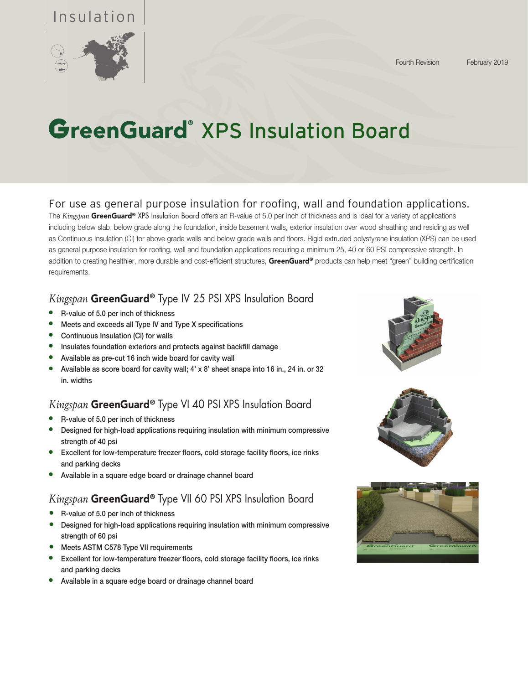## Insulation



# GreenGuard<sup>®</sup> XPS Insulation Board

#### For use as general purpose insulation for roofing, wall and foundation applications.

The *Kingspan* GreenGuard® XPS Insulation Board offers an R-value of 5.0 per inch of thickness and is ideal for a variety of applications including below slab, below grade along the foundation, inside basement walls, exterior insulation over wood sheathing and residing as well as Continuous Insulation (Ci) for above grade walls and below grade walls and floors. Rigid extruded polystyrene insulation (XPS) can be used as general purpose insulation for roofing, wall and foundation applications requiring a minimum 25, 40 or 60 PSI compressive strength. In addition to creating healthier, more durable and cost-efficient structures, GreenGuard® products can help meet "green" building certification requirements.

### *Kingspan* GreenGuard® Type IV 25 PSI XPS Insulation Board

- R-value of 5.0 per inch of thickness
- Meets and exceeds all Type IV and Type X specifications
- Continuous Insulation (Ci) for walls
- Insulates foundation exteriors and protects against backfill damage
- Available as pre-cut 16 inch wide board for cavity wall
- Available as score board for cavity wall; 4' x 8' sheet snaps into 16 in., 24 in. or 32 in. widths

### *Kingspan* GreenGuard® Type VI 40 PSI XPS Insulation Board

- R-value of 5.0 per inch of thickness
- Designed for high-load applications requiring insulation with minimum compressive strength of 40 psi
- Excellent for low-temperature freezer floors, cold storage facility floors, ice rinks and parking decks
- Available in a square edge board or drainage channel board

#### *Kingspan* GreenGuard® Type VII 60 PSI XPS Insulation Board

- **●** R-value of 5.0 per inch of thickness
- **●** Designed for high-load applications requiring insulation with minimum compressive strength of 60 psi
- **●** Meets ASTM C578 Type VII requirements
- Excellent for low-temperature freezer floors, cold storage facility floors, ice rinks and parking decks
- Available in a square edge board or drainage channel board